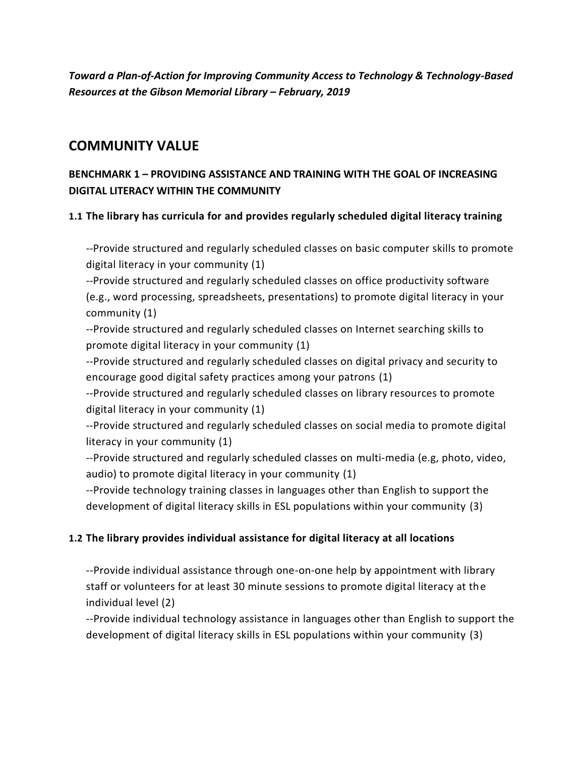*Toward a Plan-of-Action for Improving Community Access to Technology & Technology-Based Resources at the Gibson Memorial Library* **–** *February, 2019*

# **COMMUNITY VALUE**

### **BENCHMARK 1 – PROVIDING ASSISTANCE AND TRAINING WITH THE GOAL OF INCREASING DIGITAL LITERACY WITHIN THE COMMUNITY**

### **1.1 The library has curricula for and provides regularly scheduled digital literacy training**

--Provide structured and regularly scheduled classes on basic computer skills to promote digital literacy in your community (1)

--Provide structured and regularly scheduled classes on office productivity software (e.g., word processing, spreadsheets, presentations) to promote digital literacy in your community (1)

--Provide structured and regularly scheduled classes on Internet searching skills to promote digital literacy in your community (1)

--Provide structured and regularly scheduled classes on digital privacy and security to encourage good digital safety practices among your patrons (1)

--Provide structured and regularly scheduled classes on library resources to promote digital literacy in your community (1)

--Provide structured and regularly scheduled classes on social media to promote digital literacy in your community (1)

--Provide structured and regularly scheduled classes on multi-media (e.g, photo, video, audio) to promote digital literacy in your community (1)

--Provide technology training classes in languages other than English to support the development of digital literacy skills in ESL populations within your community (3)

### **1.2 The library provides individual assistance for digital literacy at all locations**

--Provide individual assistance through one-on-one help by appointment with library staff or volunteers for at least 30 minute sessions to promote digital literacy at the individual level (2)

--Provide individual technology assistance in languages other than English to support the development of digital literacy skills in ESL populations within your community (3)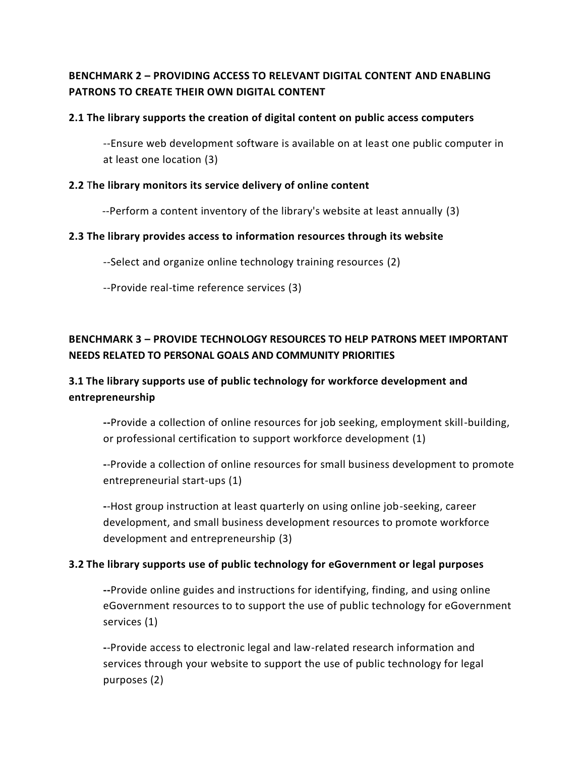## **BENCHMARK 2 – PROVIDING ACCESS TO RELEVANT DIGITAL CONTENT AND ENABLING PATRONS TO CREATE THEIR OWN DIGITAL CONTENT**

#### **2.1 The library supports the creation of digital content on public access computers**

--Ensure web development software is available on at least one public computer in at least one location (3)

#### **2.2** T**he library monitors its service delivery of online content**

--Perform a content inventory of the library's website at least annually (3)

#### **2.3 The library provides access to information resources through its website**

--Select and organize online technology training resources (2)

--Provide real-time reference services (3)

# **BENCHMARK 3 – PROVIDE TECHNOLOGY RESOURCES TO HELP PATRONS MEET IMPORTANT NEEDS RELATED TO PERSONAL GOALS AND COMMUNITY PRIORITIES**

## **3.1 The library supports use of public technology for workforce development and entrepreneurship**

**--**Provide a collection of online resources for job seeking, employment skill-building, or professional certification to support workforce development (1)

**-**-Provide a collection of online resources for small business development to promote entrepreneurial start-ups (1)

**-**-Host group instruction at least quarterly on using online job-seeking, career development, and small business development resources to promote workforce development and entrepreneurship (3)

#### **3.2 The library supports use of public technology for eGovernment or legal purposes**

**--**Provide online guides and instructions for identifying, finding, and using online eGovernment resources to to support the use of public technology for eGovernment services (1)

**-**-Provide access to electronic legal and law-related research information and services through your website to support the use of public technology for legal purposes (2)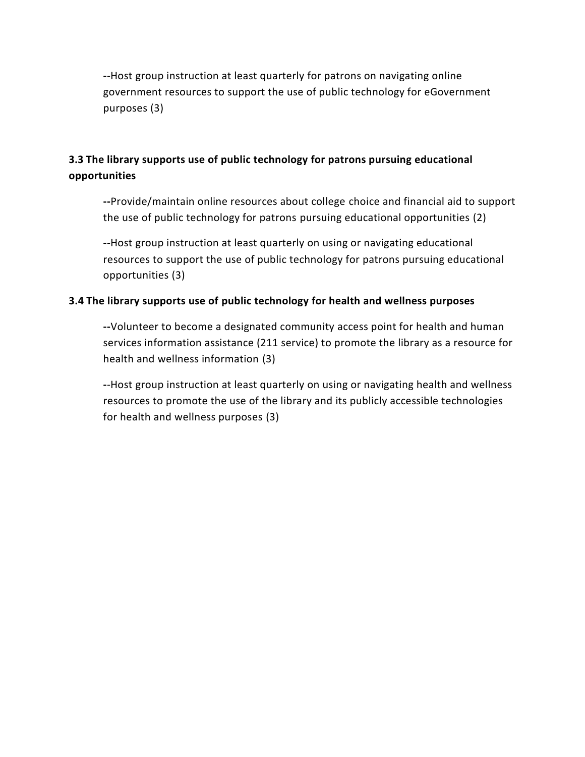**-**-Host group instruction at least quarterly for patrons on navigating online government resources to support the use of public technology for eGovernment purposes (3)

# **3.3 The library supports use of public technology for patrons pursuing educational opportunities**

**--**Provide/maintain online resources about college choice and financial aid to support the use of public technology for patrons pursuing educational opportunities (2)

**-**-Host group instruction at least quarterly on using or navigating educational resources to support the use of public technology for patrons pursuing educational opportunities (3)

#### **3.4 The library supports use of public technology for health and wellness purposes**

**--**Volunteer to become a designated community access point for health and human services information assistance (211 service) to promote the library as a resource for health and wellness information (3)

**-**-Host group instruction at least quarterly on using or navigating health and wellness resources to promote the use of the library and its publicly accessible technologies for health and wellness purposes (3)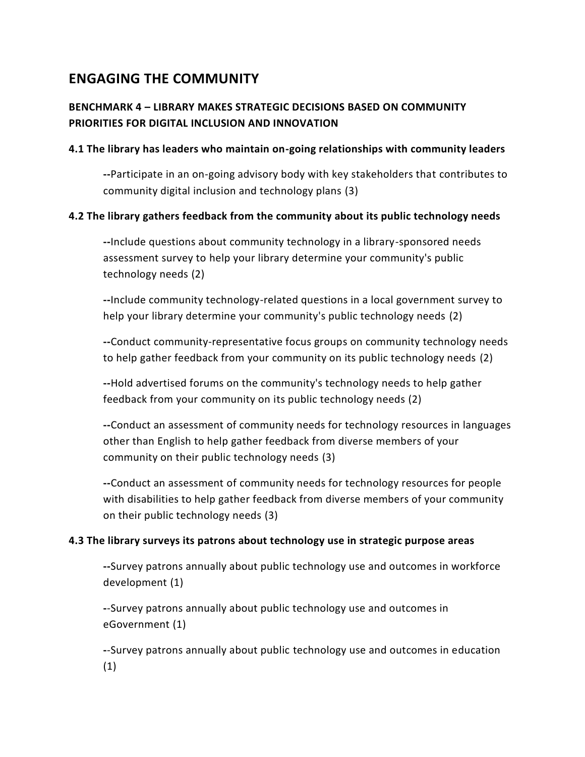# **ENGAGING THE COMMUNITY**

## **BENCHMARK 4 – LIBRARY MAKES STRATEGIC DECISIONS BASED ON COMMUNITY PRIORITIES FOR DIGITAL INCLUSION AND INNOVATION**

#### **4.1 The library has leaders who maintain on-going relationships with community leaders**

**--**Participate in an on-going advisory body with key stakeholders that contributes to community digital inclusion and technology plans (3)

#### **4.2 The library gathers feedback from the community about its public technology needs**

**--**Include questions about community technology in a library-sponsored needs assessment survey to help your library determine your community's public technology needs (2)

**--**Include community technology-related questions in a local government survey to help your library determine your community's public technology needs (2)

**--**Conduct community-representative focus groups on community technology needs to help gather feedback from your community on its public technology needs (2)

**--**Hold advertised forums on the community's technology needs to help gather feedback from your community on its public technology needs (2)

**--**Conduct an assessment of community needs for technology resources in languages other than English to help gather feedback from diverse members of your community on their public technology needs (3)

**--**Conduct an assessment of community needs for technology resources for people with disabilities to help gather feedback from diverse members of your community on their public technology needs (3)

#### **4.3 The library surveys its patrons about technology use in strategic purpose areas**

**--**Survey patrons annually about public technology use and outcomes in workforce development (1)

**-**-Survey patrons annually about public technology use and outcomes in eGovernment (1)

**-**-Survey patrons annually about public technology use and outcomes in education (1)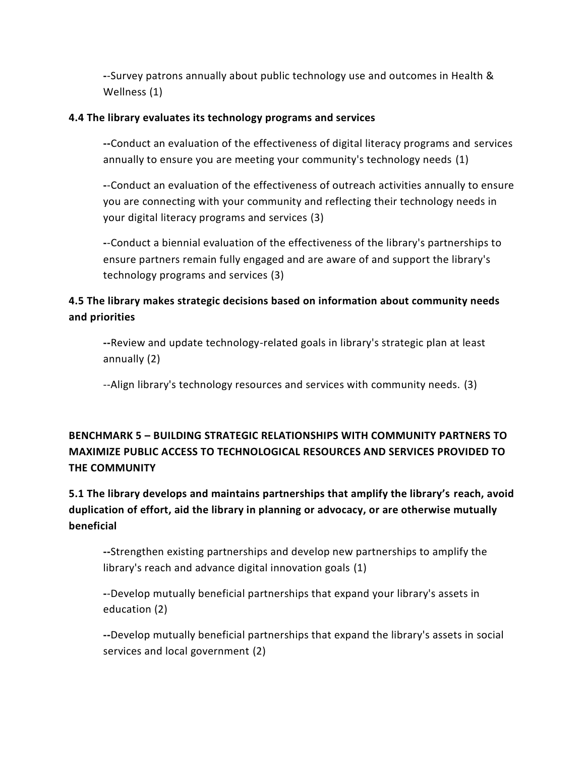**-**-Survey patrons annually about public technology use and outcomes in Health & Wellness (1)

#### **4.4 The library evaluates its technology programs and services**

**--**Conduct an evaluation of the effectiveness of digital literacy programs and services annually to ensure you are meeting your community's technology needs (1)

**-**-Conduct an evaluation of the effectiveness of outreach activities annually to ensure you are connecting with your community and reflecting their technology needs in your digital literacy programs and services (3)

**-**-Conduct a biennial evaluation of the effectiveness of the library's partnerships to ensure partners remain fully engaged and are aware of and support the library's technology programs and services (3)

## **4.5 The library makes strategic decisions based on information about community needs and priorities**

**--**Review and update technology-related goals in library's strategic plan at least annually (2)

--Align library's technology resources and services with community needs. (3)

# **BENCHMARK 5 – BUILDING STRATEGIC RELATIONSHIPS WITH COMMUNITY PARTNERS TO MAXIMIZE PUBLIC ACCESS TO TECHNOLOGICAL RESOURCES AND SERVICES PROVIDED TO THE COMMUNITY**

# **5.1 The library develops and maintains partnerships that amplify the library's reach, avoid duplication of effort, aid the library in planning or advocacy, or are otherwise mutually beneficial**

**--**Strengthen existing partnerships and develop new partnerships to amplify the library's reach and advance digital innovation goals (1)

**-**-Develop mutually beneficial partnerships that expand your library's assets in education (2)

**--**Develop mutually beneficial partnerships that expand the library's assets in social services and local government (2)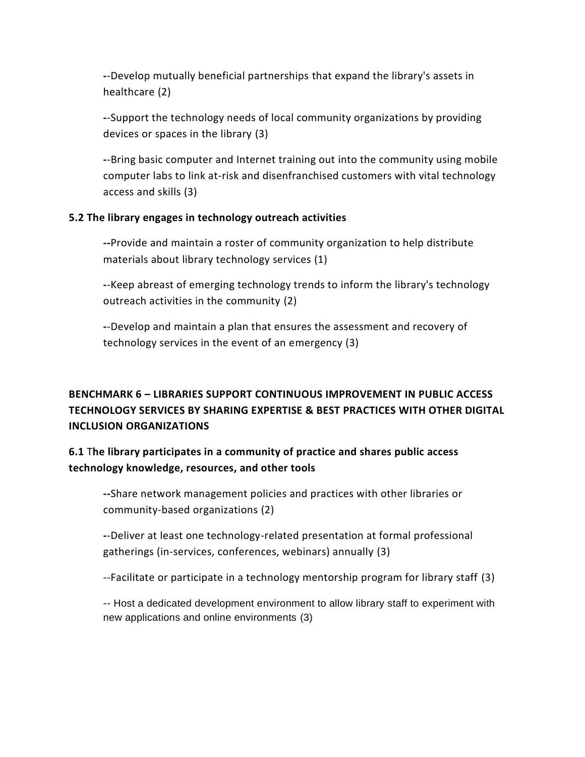**-**-Develop mutually beneficial partnerships that expand the library's assets in healthcare (2)

**-**-Support the technology needs of local community organizations by providing devices or spaces in the library (3)

**-**-Bring basic computer and Internet training out into the community using mobile computer labs to link at-risk and disenfranchised customers with vital technology access and skills (3)

#### **5.2 The library engages in technology outreach activities**

**--**Provide and maintain a roster of community organization to help distribute materials about library technology services (1)

**-**-Keep abreast of emerging technology trends to inform the library's technology outreach activities in the community (2)

**-**-Develop and maintain a plan that ensures the assessment and recovery of technology services in the event of an emergency (3)

# **BENCHMARK 6 – LIBRARIES SUPPORT CONTINUOUS IMPROVEMENT IN PUBLIC ACCESS TECHNOLOGY SERVICES BY SHARING EXPERTISE & BEST PRACTICES WITH OTHER DIGITAL INCLUSION ORGANIZATIONS**

## **6.1** T**he library participates in a community of practice and shares public access technology knowledge, resources, and other tools**

**--**Share network management policies and practices with other libraries or community-based organizations (2)

**-**-Deliver at least one technology-related presentation at formal professional gatherings (in-services, conferences, webinars) annually (3)

--Facilitate or participate in a technology mentorship program for library staff (3)

-- Host a dedicated development environment to allow library staff to experiment with new applications and online environments (3)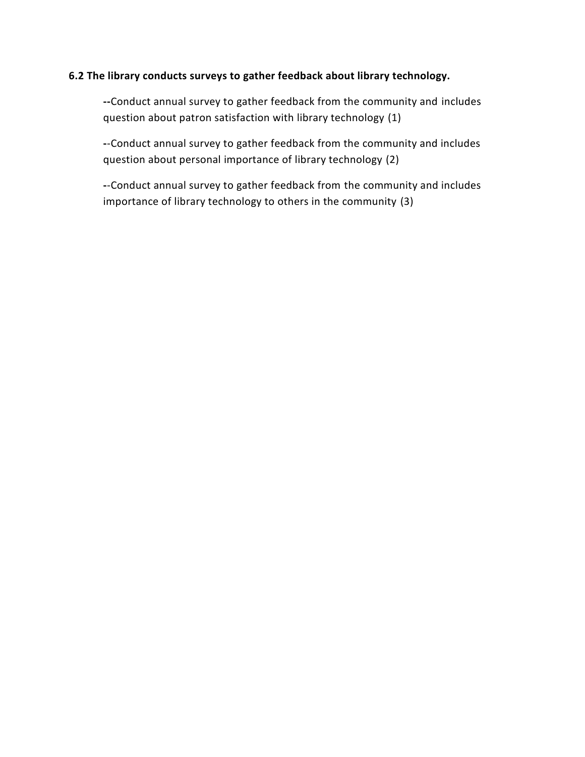#### **6.2 The library conducts surveys to gather feedback about library technology.**

**--**Conduct annual survey to gather feedback from the community and includes question about patron satisfaction with library technology (1)

**-**-Conduct annual survey to gather feedback from the community and includes question about personal importance of library technology (2)

**-**-Conduct annual survey to gather feedback from the community and includes importance of library technology to others in the community (3)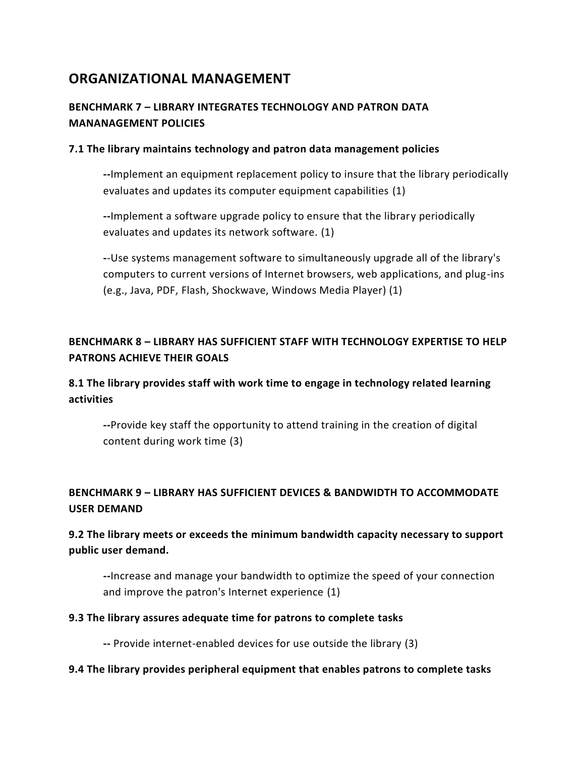# **ORGANIZATIONAL MANAGEMENT**

# **BENCHMARK 7 – LIBRARY INTEGRATES TECHNOLOGY AND PATRON DATA MANANAGEMENT POLICIES**

#### **7.1 The library maintains technology and patron data management policies**

**--**Implement an equipment replacement policy to insure that the library periodically evaluates and updates its computer equipment capabilities (1)

**--**Implement a software upgrade policy to ensure that the library periodically evaluates and updates its network software. (1)

**-**-Use systems management software to simultaneously upgrade all of the library's computers to current versions of Internet browsers, web applications, and plug-ins (e.g., Java, PDF, Flash, Shockwave, Windows Media Player) (1)

# **BENCHMARK 8 – LIBRARY HAS SUFFICIENT STAFF WITH TECHNOLOGY EXPERTISE TO HELP PATRONS ACHIEVE THEIR GOALS**

## **8.1 The library provides staff with work time to engage in technology related learning activities**

**--**Provide key staff the opportunity to attend training in the creation of digital content during work time (3)

# **BENCHMARK 9 – LIBRARY HAS SUFFICIENT DEVICES & BANDWIDTH TO ACCOMMODATE USER DEMAND**

# **9.2 The library meets or exceeds the minimum bandwidth capacity necessary to support public user demand.**

**--**Increase and manage your bandwidth to optimize the speed of your connection and improve the patron's Internet experience (1)

#### **9.3 The library assures adequate time for patrons to complete tasks**

**--** Provide internet-enabled devices for use outside the library (3)

#### **9.4 The library provides peripheral equipment that enables patrons to complete tasks**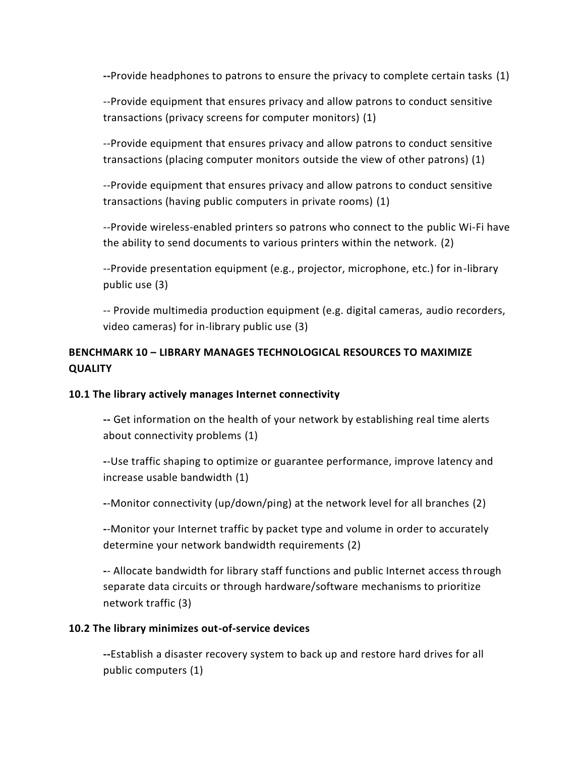**--**Provide headphones to patrons to ensure the privacy to complete certain tasks (1)

--Provide equipment that ensures privacy and allow patrons to conduct sensitive transactions (privacy screens for computer monitors) (1)

--Provide equipment that ensures privacy and allow patrons to conduct sensitive transactions (placing computer monitors outside the view of other patrons) (1)

--Provide equipment that ensures privacy and allow patrons to conduct sensitive transactions (having public computers in private rooms) (1)

--Provide wireless-enabled printers so patrons who connect to the public Wi-Fi have the ability to send documents to various printers within the network. (2)

--Provide presentation equipment (e.g., projector, microphone, etc.) for in-library public use (3)

-- Provide multimedia production equipment (e.g. digital cameras, audio recorders, video cameras) for in-library public use (3)

### **BENCHMARK 10 – LIBRARY MANAGES TECHNOLOGICAL RESOURCES TO MAXIMIZE QUALITY**

#### **10.1 The library actively manages Internet connectivity**

**--** Get information on the health of your network by establishing real time alerts about connectivity problems (1)

**-**-Use traffic shaping to optimize or guarantee performance, improve latency and increase usable bandwidth (1)

**-**-Monitor connectivity (up/down/ping) at the network level for all branches (2)

**-**-Monitor your Internet traffic by packet type and volume in order to accurately determine your network bandwidth requirements (2)

**-**- Allocate bandwidth for library staff functions and public Internet access through separate data circuits or through hardware/software mechanisms to prioritize network traffic (3)

#### **10.2 The library minimizes out-of-service devices**

**--**Establish a disaster recovery system to back up and restore hard drives for all public computers (1)